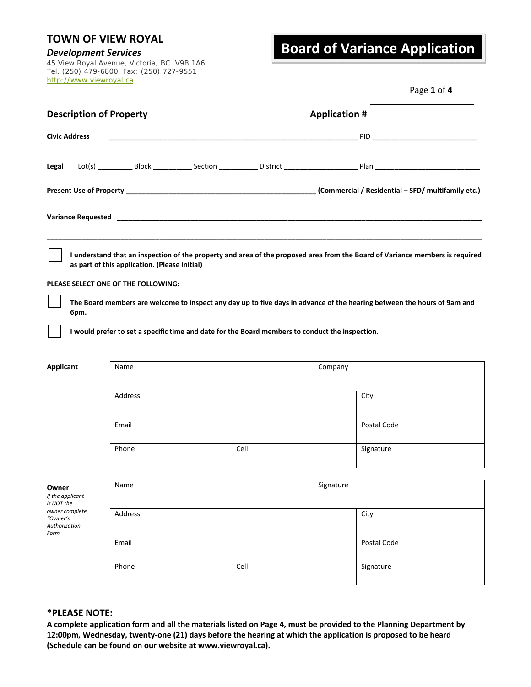*Development Services* 45 View Royal Avenue, Victoria, BC V9B 1A6 Tel. (250) 479-6800 Fax: (250) 727-9551 http://www.viewroyal.ca

## **Board of Variance Application**

|  | Page 1 of 4 |
|--|-------------|
|  |             |
|  |             |
|  |             |

| <b>Description of Property</b>                      |                                                                                                 |  |      | Application $\#$ |                                                                                                                              |  |
|-----------------------------------------------------|-------------------------------------------------------------------------------------------------|--|------|------------------|------------------------------------------------------------------------------------------------------------------------------|--|
| <b>Civic Address</b>                                |                                                                                                 |  |      |                  |                                                                                                                              |  |
| Legal                                               |                                                                                                 |  |      |                  |                                                                                                                              |  |
|                                                     |                                                                                                 |  |      |                  |                                                                                                                              |  |
|                                                     |                                                                                                 |  |      |                  |                                                                                                                              |  |
|                                                     | as part of this application. (Please initial)                                                   |  |      |                  | I understand that an inspection of the property and area of the proposed area from the Board of Variance members is required |  |
|                                                     | PLEASE SELECT ONE OF THE FOLLOWING:                                                             |  |      |                  |                                                                                                                              |  |
| 6pm.                                                |                                                                                                 |  |      |                  | The Board members are welcome to inspect any day up to five days in advance of the hearing between the hours of 9am and      |  |
|                                                     | I would prefer to set a specific time and date for the Board members to conduct the inspection. |  |      |                  |                                                                                                                              |  |
| <b>Applicant</b>                                    | Name                                                                                            |  |      | Company          |                                                                                                                              |  |
|                                                     | Address                                                                                         |  |      |                  | City                                                                                                                         |  |
|                                                     | Email                                                                                           |  |      |                  | Postal Code                                                                                                                  |  |
|                                                     | Phone                                                                                           |  | Cell |                  | Signature                                                                                                                    |  |
|                                                     | Name                                                                                            |  |      | Signature        |                                                                                                                              |  |
| Owner<br>If the applicant<br>is NOT the             |                                                                                                 |  |      |                  |                                                                                                                              |  |
| owner complete<br>"Owner's<br>Authorization<br>Form | Address                                                                                         |  |      |                  | City                                                                                                                         |  |
|                                                     | Email                                                                                           |  |      |                  | Postal Code                                                                                                                  |  |
|                                                     | Phone                                                                                           |  | Cell |                  | Signature                                                                                                                    |  |

#### **\*PLEASE NOTE:**

**A complete application form and all the materials listed on Page 4, must be provided to the Planning Department by 12:00pm, Wednesday, twenty‐one (21) days before the hearing at which the application is proposed to be heard (Schedule can be found on our website at www.viewroyal.ca).**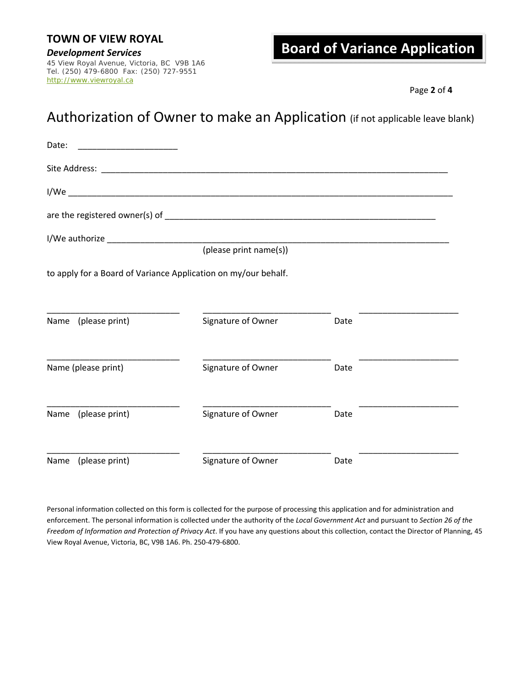# **Development Services**<br>45 View Royal Avenue, Victoria, BC V9B 1A6

Tel. (250) 479-6800 Fax: (250) 727-9551 http://www.viewroyal.ca

## **Board of Variance Application**

Page **2** of **4**

## Authorization of Owner to make an Application (if not applicable leave blank)

| Date:                                                          |                        |      |  |
|----------------------------------------------------------------|------------------------|------|--|
|                                                                |                        |      |  |
|                                                                |                        |      |  |
|                                                                |                        |      |  |
|                                                                |                        |      |  |
|                                                                | (please print name(s)) |      |  |
| to apply for a Board of Variance Application on my/our behalf. |                        |      |  |
| Name (please print)                                            | Signature of Owner     | Date |  |
| Name (please print)                                            | Signature of Owner     | Date |  |
| Name (please print)                                            | Signature of Owner     | Date |  |
| (please print)<br>Name                                         | Signature of Owner     | Date |  |

Personal information collected on this form is collected for the purpose of processing this application and for administration and enforcement. The personal information is collected under the authority of the *Local Government Act* and pursuant to *Section 26 of the Freedom of Information and Protection of Privacy Act*. If you have any questions about this collection, contact the Director of Planning, 45 View Royal Avenue, Victoria, BC, V9B 1A6. Ph. 250‐479‐6800.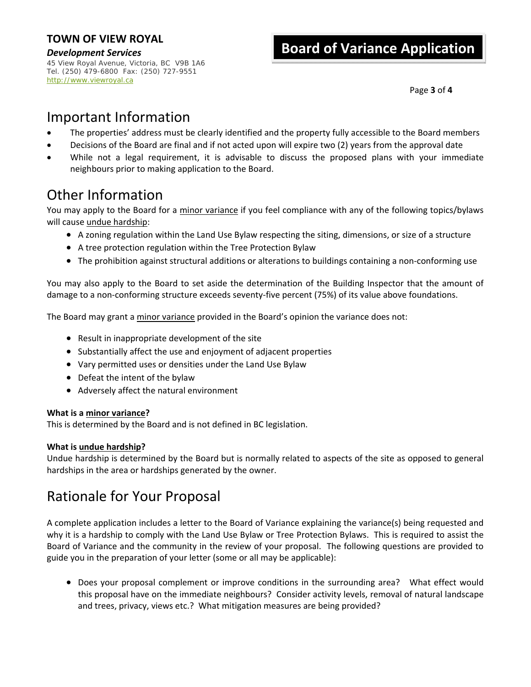*Development Services* 45 View Royal Avenue, Victoria, BC V9B 1A6 Tel. (250) 479-6800 Fax: (250) 727-9551 http://www.viewroyal.ca

## **Board of Variance Application**

Page **3** of **4**

## Important Information

- The properties' address must be clearly identified and the property fully accessible to the Board members
- Decisions of the Board are final and if not acted upon will expire two (2) years from the approval date
- While not a legal requirement, it is advisable to discuss the proposed plans with your immediate neighbours prior to making application to the Board.

## Other Information

You may apply to the Board for a minor variance if you feel compliance with any of the following topics/bylaws will cause undue hardship:

- A zoning regulation within the Land Use Bylaw respecting the siting, dimensions, or size of a structure
- A tree protection regulation within the Tree Protection Bylaw
- The prohibition against structural additions or alterations to buildings containing a non-conforming use

You may also apply to the Board to set aside the determination of the Building Inspector that the amount of damage to a non‐conforming structure exceeds seventy‐five percent (75%) of its value above foundations.

The Board may grant a minor variance provided in the Board's opinion the variance does not:

- Result in inappropriate development of the site
- Substantially affect the use and enjoyment of adjacent properties
- Vary permitted uses or densities under the Land Use Bylaw
- Defeat the intent of the bylaw
- Adversely affect the natural environment

#### **What is a minor variance?**

This is determined by the Board and is not defined in BC legislation.

#### **What is undue hardship?**

Undue hardship is determined by the Board but is normally related to aspects of the site as opposed to general hardships in the area or hardships generated by the owner.

### Rationale for Your Proposal

A complete application includes a letter to the Board of Variance explaining the variance(s) being requested and why it is a hardship to comply with the Land Use Bylaw or Tree Protection Bylaws. This is required to assist the Board of Variance and the community in the review of your proposal. The following questions are provided to guide you in the preparation of your letter (some or all may be applicable):

• Does your proposal complement or improve conditions in the surrounding area? What effect would this proposal have on the immediate neighbours? Consider activity levels, removal of natural landscape and trees, privacy, views etc.? What mitigation measures are being provided?